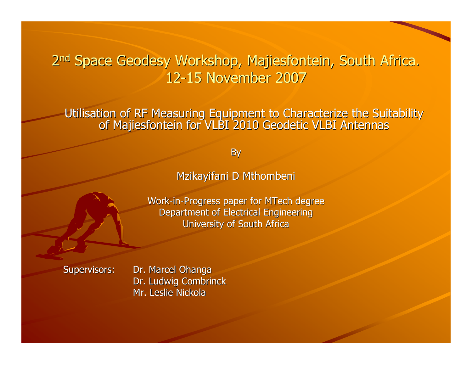# Utilisation of RF Measuring Equipment to Characterize the Suitability of Majiesfontein for VLBI 2010 Geodetic VLBI Antennas

By

#### Mzikayifani D Mthombeni

Work-in-Progress paper for MTech degree Department of Electrical EngineeringUniversity of South Africa

Supervisors: Dr. Marcel Ohanga Dr. Ludwig CombrinckMr. Leslie Nickola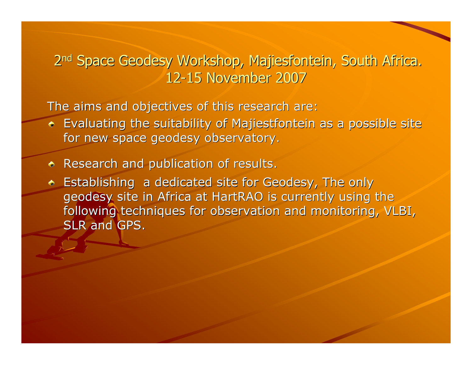The aims and objectives of this research are:

- Evaluating the suitability of Majiestfontein as a possible site for new space geodesy observatory.
- Research and publication of results.
- **Establishing a dedicated site for Geodesy, The only 4**  geodesy site in Africa at HartRAO is currently using the following techniques for observation and monitoring, VLBI, SLR and GPS.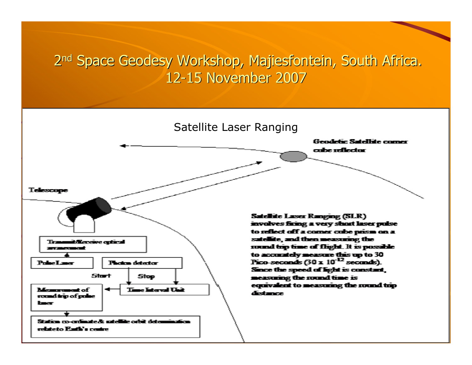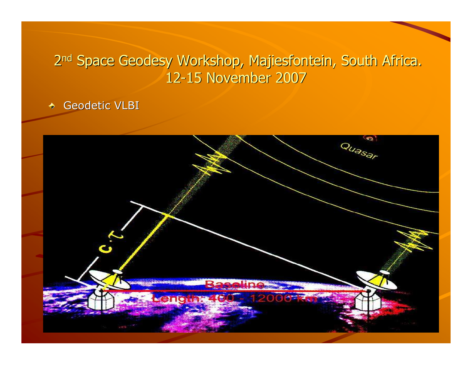#### Geodetic VLBI $\blacklozenge$

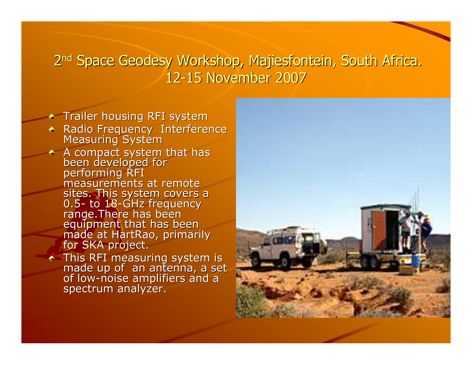- **Trailer housing RFI system**
- Radio Frequency Interference Measuring System
- A compact system that has<br>been developed for<br>performing RFI measurements at remote sites. This system covers a<br>0.5- to 18-GHz freguency - to 18<br>de <sup>The</sup> 0.5- to 18-GHz frequency<br>range.There has been<br>equipment that has been<br>made at HartRao, primarily<br>for SKA project.
	- This RFI measuring system is<br>made up of an antenna, a set<br>of low-noise amplifiers and a spectrum analyzer.

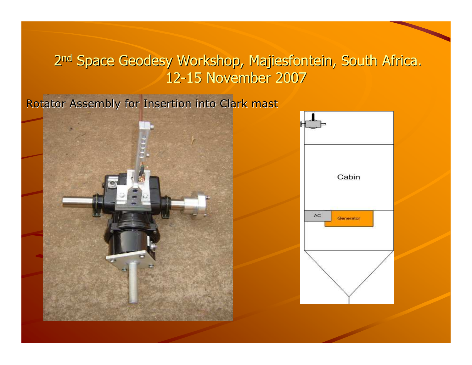Rotator Assembly for Insertion into Clark mast



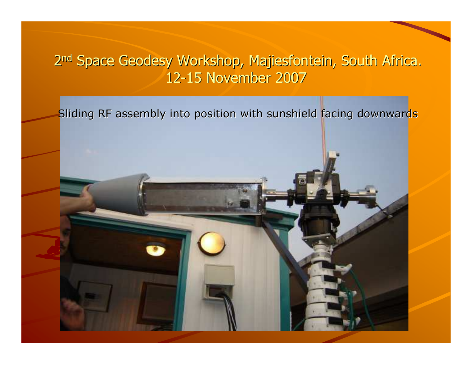Sliding RF assembly into position with sunshield facing downwards

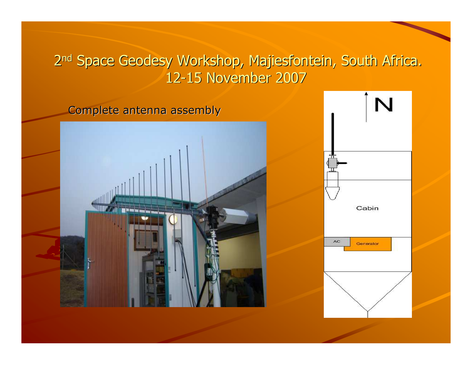Complete antenna assembly



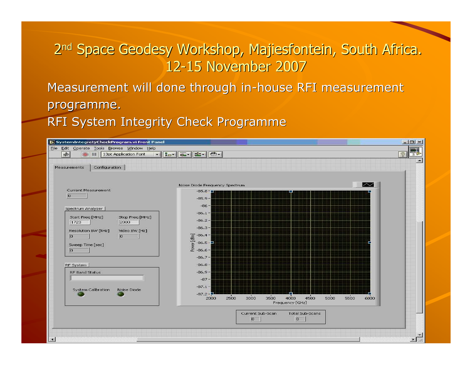Measurement will done through in-house RFI measurementprogramme.

RFI System Integrity Check Programme

| SystemIntegretyCheckProgram.vi Front Panel                                                  |                                                                                 |                                                         | $ \Box$ $\times$      |
|---------------------------------------------------------------------------------------------|---------------------------------------------------------------------------------|---------------------------------------------------------|-----------------------|
| File Edit Operate Tools Browse Window Help<br>哈<br>13pt Application Font<br><b>SALE</b>     |                                                                                 |                                                         | $\sqrt{2}$<br>$3 +$   |
| Configuration<br><b>Measurements</b>                                                        |                                                                                 |                                                         |                       |
|                                                                                             | Noise Diode Frequency Spectrum                                                  | $\sim$                                                  |                       |
| Current Measurement<br> 0                                                                   | $-85.8 - m$<br>$-85.9 -$                                                        |                                                         |                       |
| Spectrum Analyzer                                                                           | $-86-$<br>$-86.1 -$                                                             |                                                         |                       |
| Start Freq [MHz]<br>Stop Freq [MHz]<br>2000<br>1723<br>Resolution BW [kHz]<br>Video BW [Hz] | $-86.2-$<br>$-86.3-$                                                            |                                                         |                       |
| 0<br>$\overline{a}$<br>Sweep Time [sec]<br>o                                                | $\overline{9}$ -86.4 -<br>$\overline{9}$ -86.5 -<br>$-86.5 -$<br>홍<br>요 -86.6 - |                                                         |                       |
| RF System                                                                                   | $-86.7-$<br>$-86.8-$                                                            |                                                         |                       |
| RF Band Status                                                                              | $-86.9-$<br>$-87 -$                                                             |                                                         |                       |
| System Calibration<br>Noise Diode                                                           | $-87.1 -$<br>$-87.2 -$<br>3500<br>2500<br>3000<br>2000                          | 5000<br>4000<br>4500<br>5500<br>6000<br>Frequency [GHz] |                       |
|                                                                                             | Current Sub-Scan<br>$\overline{p}$                                              | Total Sub-Scans<br>o                                    |                       |
| $\blacksquare$                                                                              |                                                                                 |                                                         | $\blacktriangleright$ |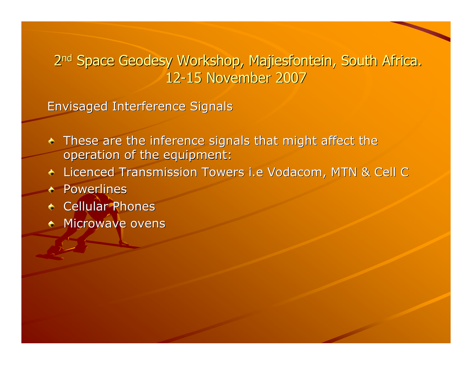Envisaged Interference Signals

- These are the inference signals that might affect the operation of the equipment:
- Licenced Transmission Towers i.e Vodacom, MTN & Cell C
- Powerlines
- Cellular Phones
- Microwave ovens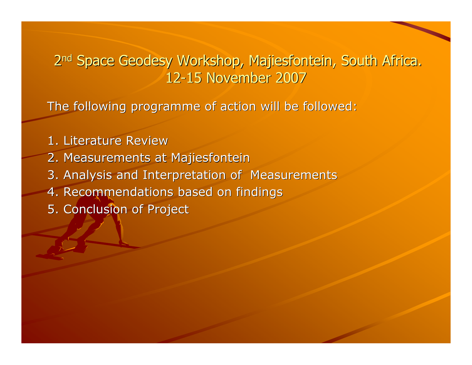The following programme of action will be followed:

1. Literature Review 2. Measurements at Majiesfontein 3. Analysis and Interpretation of Measurements4. Recommendations based on findings5. Conclusion of Project